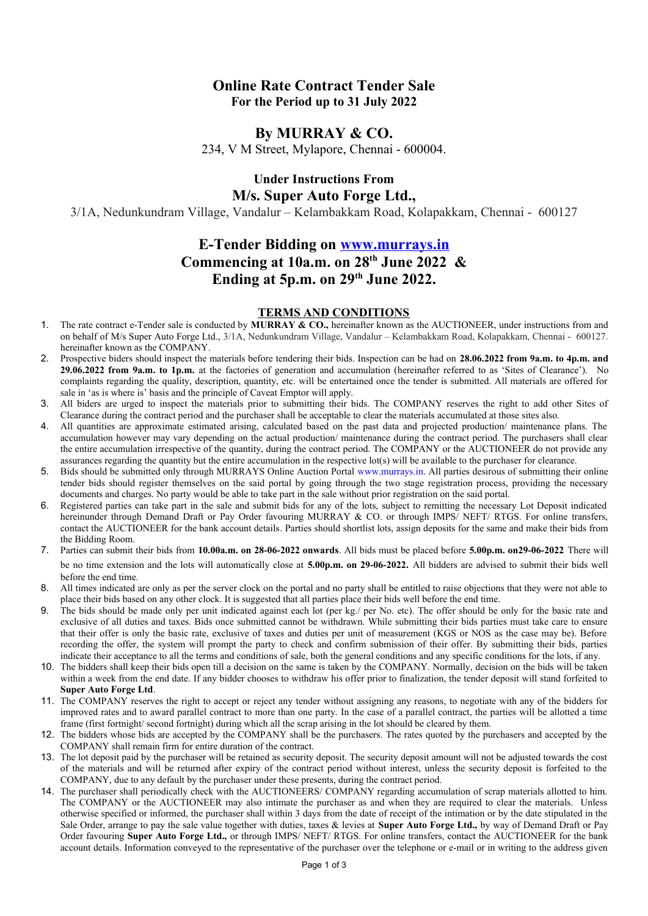## **Online Rate Contract Tender Sale For the Period up to 31 July 2022**

### **By MURRAY & CO.**

234, V M Street, Mylapore, Chennai - 600004.

# **Under Instructions From M/s. Super Auto Forge Ltd.,**

3/1A, Nedunkundram Village, Vandalur – Kelambakkam Road, Kolapakkam, Chennai - 600127

# **E-Tender Bidding on [www.murrays.in](http://www.murrays.in/) Commencing at 10a.m. on 28th June 2022 & Ending at 5p.m. on 29th June 2022.**

### **TERMS AND CONDITIONS**

- 1. The rate contract e-Tender sale is conducted by **MURRAY & CO.,** hereinafter known as the AUCTIONEER, under instructions from and on behalf of M/s Super Auto Forge Ltd., 3/1A, Nedunkundram Village, Vandalur – Kelambakkam Road, Kolapakkam, Chennai - 600127. hereinafter known as the COMPANY.
- 2. Prospective biders should inspect the materials before tendering their bids. Inspection can be had on **28.06.2022 from 9a.m. to 4p.m. and 29.06.2022 from 9a.m. to 1p.m.** at the factories of generation and accumulation (hereinafter referred to as 'Sites of Clearance'). No complaints regarding the quality, description, quantity, etc. will be entertained once the tender is submitted. All materials are offered for sale in 'as is where is' basis and the principle of Caveat Emptor will apply.
- 3. All biders are urged to inspect the materials prior to submitting their bids. The COMPANY reserves the right to add other Sites of Clearance during the contract period and the purchaser shall be acceptable to clear the materials accumulated at those sites also.
- 4. All quantities are approximate estimated arising, calculated based on the past data and projected production/ maintenance plans. The accumulation however may vary depending on the actual production/ maintenance during the contract period. The purchasers shall clear the entire accumulation irrespective of the quantity, during the contract period. The COMPANY or the AUCTIONEER do not provide any assurances regarding the quantity but the entire accumulation in the respective lot(s) will be available to the purchaser for clearance.
- 5. Bids should be submitted only through MURRAYS Online Auction Portal [www.murrays.in](http://www.murrays.in/). All parties desirous of submitting their online tender bids should register themselves on the said portal by going through the two stage registration process, providing the necessary documents and charges. No party would be able to take part in the sale without prior registration on the said portal.
- 6. Registered parties can take part in the sale and submit bids for any of the lots, subject to remitting the necessary Lot Deposit indicated hereinunder through Demand Draft or Pay Order favouring MURRAY & CO. or through IMPS/ NEFT/ RTGS. For online transfers, contact the AUCTIONEER for the bank account details. Parties should shortlist lots, assign deposits for the same and make their bids from the Bidding Room.
- 7. Parties can submit their bids from **10.00a.m. on 28-06-2022 onwards**. All bids must be placed before **5.00p.m. on29-06-2022** There will be no time extension and the lots will automatically close at **5.00p.m. on 29-06-2022.** All bidders are advised to submit their bids well before the end time.
- 8. All times indicated are only as per the server clock on the portal and no party shall be entitled to raise objections that they were not able to place their bids based on any other clock. It is suggested that all parties place their bids well before the end time.
- 9. The bids should be made only per unit indicated against each lot (per kg./ per No. etc). The offer should be only for the basic rate and exclusive of all duties and taxes. Bids once submitted cannot be withdrawn. While submitting their bids parties must take care to ensure that their offer is only the basic rate, exclusive of taxes and duties per unit of measurement (KGS or NOS as the case may be). Before recording the offer, the system will prompt the party to check and confirm submission of their offer. By submitting their bids, parties indicate their acceptance to all the terms and conditions of sale, both the general conditions and any specific conditions for the lots, if any.
- 10. The bidders shall keep their bids open till a decision on the same is taken by the COMPANY. Normally, decision on the bids will be taken within a week from the end date. If any bidder chooses to withdraw his offer prior to finalization, the tender deposit will stand forfeited to **Super Auto Forge Ltd**.
- 11. The COMPANY reserves the right to accept or reject any tender without assigning any reasons, to negotiate with any of the bidders for improved rates and to award parallel contract to more than one party. In the case of a parallel contract, the parties will be allotted a time frame (first fortnight/ second fortnight) during which all the scrap arising in the lot should be cleared by them.
- 12. The bidders whose bids are accepted by the COMPANY shall be the purchasers. The rates quoted by the purchasers and accepted by the COMPANY shall remain firm for entire duration of the contract.
- 13. The lot deposit paid by the purchaser will be retained as security deposit. The security deposit amount will not be adjusted towards the cost of the materials and will be returned after expiry of the contract period without interest, unless the security deposit is forfeited to the COMPANY, due to any default by the purchaser under these presents, during the contract period.
- 14. The purchaser shall periodically check with the AUCTIONEERS/ COMPANY regarding accumulation of scrap materials allotted to him. The COMPANY or the AUCTIONEER may also intimate the purchaser as and when they are required to clear the materials. Unless otherwise specified or informed, the purchaser shall within 3 days from the date of receipt of the intimation or by the date stipulated in the Sale Order, arrange to pay the sale value together with duties, taxes & levies at **Super Auto Forge Ltd.,** by way of Demand Draft or Pay Order favouring **Super Auto Forge Ltd.,** or through IMPS/ NEFT/ RTGS. For online transfers, contact the AUCTIONEER for the bank account details. Information conveyed to the representative of the purchaser over the telephone or e-mail or in writing to the address given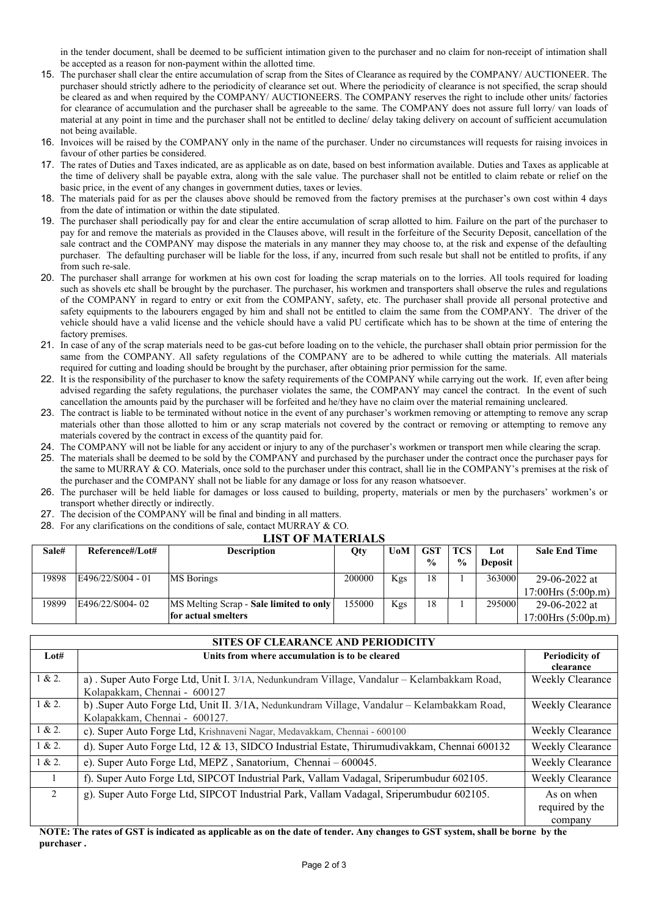in the tender document, shall be deemed to be sufficient intimation given to the purchaser and no claim for non-receipt of intimation shall be accepted as a reason for non-payment within the allotted time.

- 15. The purchaser shall clear the entire accumulation of scrap from the Sites of Clearance as required by the COMPANY/ AUCTIONEER. The purchaser should strictly adhere to the periodicity of clearance set out. Where the periodicity of clearance is not specified, the scrap should be cleared as and when required by the COMPANY/ AUCTIONEERS. The COMPANY reserves the right to include other units/ factories for clearance of accumulation and the purchaser shall be agreeable to the same. The COMPANY does not assure full lorry/ van loads of material at any point in time and the purchaser shall not be entitled to decline/ delay taking delivery on account of sufficient accumulation not being available.
- 16. Invoices will be raised by the COMPANY only in the name of the purchaser. Under no circumstances will requests for raising invoices in favour of other parties be considered.
- 17. The rates of Duties and Taxes indicated, are as applicable as on date, based on best information available. Duties and Taxes as applicable at the time of delivery shall be payable extra, along with the sale value. The purchaser shall not be entitled to claim rebate or relief on the basic price, in the event of any changes in government duties, taxes or levies.
- 18. The materials paid for as per the clauses above should be removed from the factory premises at the purchaser's own cost within 4 days from the date of intimation or within the date stipulated.
- 19. The purchaser shall periodically pay for and clear the entire accumulation of scrap allotted to him. Failure on the part of the purchaser to pay for and remove the materials as provided in the Clauses above, will result in the forfeiture of the Security Deposit, cancellation of the sale contract and the COMPANY may dispose the materials in any manner they may choose to, at the risk and expense of the defaulting purchaser. The defaulting purchaser will be liable for the loss, if any, incurred from such resale but shall not be entitled to profits, if any from such re-sale.
- 20. The purchaser shall arrange for workmen at his own cost for loading the scrap materials on to the lorries. All tools required for loading such as shovels etc shall be brought by the purchaser. The purchaser, his workmen and transporters shall observe the rules and regulations of the COMPANY in regard to entry or exit from the COMPANY, safety, etc. The purchaser shall provide all personal protective and safety equipments to the labourers engaged by him and shall not be entitled to claim the same from the COMPANY. The driver of the vehicle should have a valid license and the vehicle should have a valid PU certificate which has to be shown at the time of entering the factory premises.
- 21. In case of any of the scrap materials need to be gas-cut before loading on to the vehicle, the purchaser shall obtain prior permission for the same from the COMPANY. All safety regulations of the COMPANY are to be adhered to while cutting the materials. All materials required for cutting and loading should be brought by the purchaser, after obtaining prior permission for the same.
- 22. It is the responsibility of the purchaser to know the safety requirements of the COMPANY while carrying out the work. If, even after being advised regarding the safety regulations, the purchaser violates the same, the COMPANY may cancel the contract. In the event of such cancellation the amounts paid by the purchaser will be forfeited and he/they have no claim over the material remaining uncleared.
- 23. The contract is liable to be terminated without notice in the event of any purchaser's workmen removing or attempting to remove any scrap materials other than those allotted to him or any scrap materials not covered by the contract or removing or attempting to remove any materials covered by the contract in excess of the quantity paid for.
- 24. The COMPANY will not be liable for any accident or injury to any of the purchaser's workmen or transport men while clearing the scrap.
- 25. The materials shall be deemed to be sold by the COMPANY and purchased by the purchaser under the contract once the purchaser pays for the same to MURRAY & CO. Materials, once sold to the purchaser under this contract, shall lie in the COMPANY's premises at the risk of the purchaser and the COMPANY shall not be liable for any damage or loss for any reason whatsoever.
- 26. The purchaser will be held liable for damages or loss caused to building, property, materials or men by the purchasers' workmen's or transport whether directly or indirectly.
- 27. The decision of the COMPANY will be final and binding in all matters.
- 28. For any clarifications on the conditions of sale, contact MURRAY & CO.

### **LIST OF MATERIALS**

| Sale# | Reference#/Lot#   | <b>Description</b>                      | Qty    | <b>UoM</b> | <b>GST</b>    | <b>TCS</b>    | Lot            | <b>Sale End Time</b> |
|-------|-------------------|-----------------------------------------|--------|------------|---------------|---------------|----------------|----------------------|
|       |                   |                                         |        |            | $\frac{0}{0}$ | $\frac{0}{0}$ | <b>Deposit</b> |                      |
| 19898 | E496/22/S004 - 01 | MS Borings                              | 200000 | Kgs        | 18            |               | 363000         | 29-06-2022 at        |
|       |                   |                                         |        |            |               |               |                | 17:00Hrs $(5:00p.m)$ |
| 19899 | E496/22/S004-02   | MS Melting Scrap - Sale limited to only | 155000 | Kgs        | 18            |               | 295000         | 29-06-2022 at        |
|       |                   | for actual smelters                     |        |            |               |               |                | 17:00Hrs $(5:00p.m)$ |

| <b>SITES OF CLEARANCE AND PERIODICITY</b> |                                                                                             |                       |  |  |  |  |
|-------------------------------------------|---------------------------------------------------------------------------------------------|-----------------------|--|--|--|--|
| Lot#                                      | Units from where accumulation is to be cleared                                              | <b>Periodicity of</b> |  |  |  |  |
|                                           |                                                                                             | clearance             |  |  |  |  |
| 1 & 2.                                    | a). Super Auto Forge Ltd, Unit I. 3/1A, Nedunkundram Village, Vandalur - Kelambakkam Road,  | Weekly Clearance      |  |  |  |  |
|                                           | Kolapakkam, Chennai - 600127                                                                |                       |  |  |  |  |
| 1 & 2.                                    | b) Super Auto Forge Ltd, Unit II. 3/1A, Nedunkundram Village, Vandalur - Kelambakkam Road,  | Weekly Clearance      |  |  |  |  |
|                                           | Kolapakkam, Chennai - 600127.                                                               |                       |  |  |  |  |
| 1 & 2.                                    | c). Super Auto Forge Ltd, Krishnaveni Nagar, Medavakkam, Chennai - 600100                   | Weekly Clearance      |  |  |  |  |
| 1 & 2.                                    | d). Super Auto Forge Ltd, 12 & 13, SIDCO Industrial Estate, Thirumudivakkam, Chennai 600132 | Weekly Clearance      |  |  |  |  |
| 1 & 2.                                    | e). Super Auto Forge Ltd, MEPZ, Sanatorium, Chennai - 600045.                               | Weekly Clearance      |  |  |  |  |
|                                           | f). Super Auto Forge Ltd, SIPCOT Industrial Park, Vallam Vadagal, Sriperumbudur 602105.     | Weekly Clearance      |  |  |  |  |
| $\mathfrak{D}$                            | g). Super Auto Forge Ltd, SIPCOT Industrial Park, Vallam Vadagal, Sriperumbudur 602105.     | As on when            |  |  |  |  |
|                                           |                                                                                             | required by the       |  |  |  |  |
|                                           |                                                                                             | company               |  |  |  |  |

**NOTE: The rates of GST is indicated as applicable as on the date of tender. Any changes to GST system, shall be borne by the purchaser .**